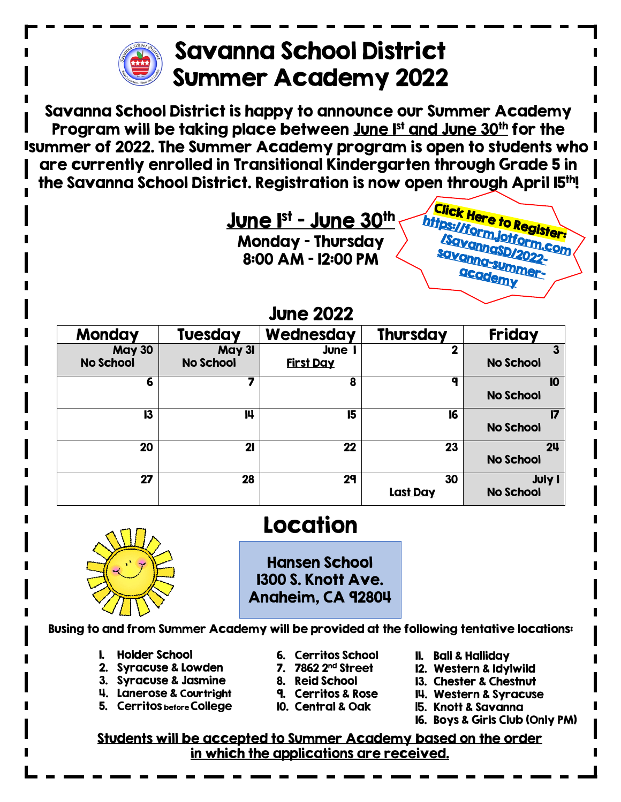

## Savanna School District Summer Academy 2022

Savanna School District is happy to announce our Summer Academy Program will be taking place between <u>June I<sup>st</sup> and June 30<sup>th</sup> for the</u> Isummer of 2022. The Summer Academy program is open to students who I are currently enrolled in Transitional Kindergarten through Grade 5 in the Savanna School District. Registration is now open through April 15<sup>th</sup>!



## June 2022

| <b>Monday</b>                     | <b>Tuesday</b>             | Wednesday                       | <b>Thursday</b>       | <b>Friday</b>                      |  |  |
|-----------------------------------|----------------------------|---------------------------------|-----------------------|------------------------------------|--|--|
| <b>May 30</b><br><b>No School</b> | May 31<br><b>No School</b> | <b>June</b><br><u>First Day</u> | າ                     | 3<br><b>No School</b>              |  |  |
| 6                                 | 7                          | 8                               | a                     | 10<br><b>No School</b>             |  |  |
| 13                                | 14                         | 15                              | 16                    | 17<br><b>No School</b>             |  |  |
| 20                                | 21                         | 22                              | 23                    | 2 <sub>u</sub><br><b>No School</b> |  |  |
| 27                                | 28                         | 29                              | 30<br><b>Last Day</b> | <b>July I</b><br><b>No School</b>  |  |  |



## Location

Hansen School 1300 S. Knott Ave. Anaheim, CA 92804

Busing to and from Summer Academy will be provided at the following tentative locations:

- 1. Holder School
- 2. Syracuse & Lowden
- 3. Syracuse & Jasmine
- 4. Lanerose & Courtright
- 5. Cerritos before College
- 6. Cerritos School
- 7. 7862 2nd Street
- 8. Reid School
- 9. Cerritos & Rose
- 10. Central & Oak
- 11. Ball & Halliday
- 12. Western & Idylwild
- 13. Chester & Chestnut
- 14. Western & Syracuse
- 15. Knott & Savanna
- 16. Boys & Girls Club (Only PM)

Students will be accepted to Summer Academy based on the order in which the applications are received.